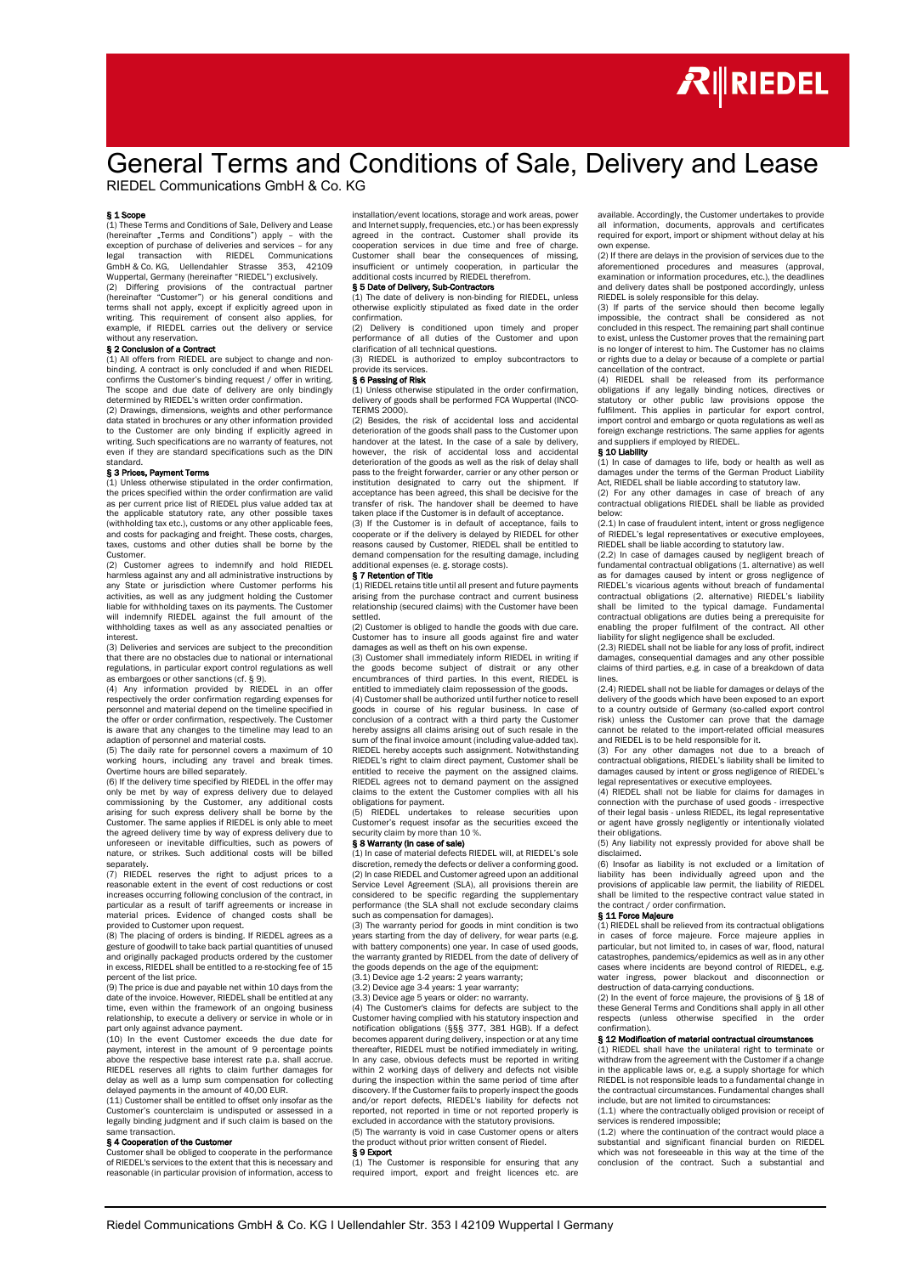

# General Terms and Conditions of Sale, Delivery and Lease

RIEDEL Communications GmbH & Co. KG

**§ 1 Scope**<br>(1) These Terms and Conditions of Sale, Delivery and Lease (hereinafter "Terms and Conditions") apply – with the<br>exception of purchase of deliveries and services – for any<br>legal transaction with RIEDEL Communications GmbH & Co. KG, Uellendahler Strasse 353, 42109 Wuppertal, Germany (hereinafter "RIEDEL") exclusively.

(2) Differing provisions of the contractual partner (hereinafter "Customer") or his general conditions and terms shall not apply, except if explicitly agreed upon in writing. This requirement of consent also applies, for example, if RIEDEL carries out the delivery or service without any reservation.

### § 2 Conclusion of a Contract

(1) All offers from RIEDEL are subject to change and nonbinding. A contract is only concluded if and when RIEDEL confirms the Customer's binding request / offer in writing. The scope and due date of delivery are only bindingly determined by RIEDEL's written order confirmation.

(2) Drawings, dimensions, weights and other performance data stated in brochures or any other information provided to the Customer are only binding if explicitly agreed in writing. Such specifications are no warranty of features, not even if they are standard specifications such as the DIN standard.

### § 3 Prices, Payment Terms

(1) Unless otherwise stipulated in the order confirmation, the prices specified within the order confirmation are valid as per current price list of RIEDEL plus value added tax at the applicable statutory rate, any other possible taxes (withholding tax etc.), customs or any other applicable fees, and costs for packaging and freight. These costs, charges, taxes, customs and other duties shall be borne by the Customer.

(2) Customer agrees to indemnify and hold RIEDEL harmless against any and all administrative instructions by any State or jurisdiction where Customer performs his activities, as well as any judgment holding the Customer liable for withholding taxes on its payments. The Customer will indemnify RIEDEL against the full amount of the withholding taxes as well as any associated penalties or interest.

(3) Deliveries and services are subject to the precondition that there are no obstacles due to national or international regulations, in particular export control regulations as well

as embargoes or other sanctions (cf. § 9). (4) Any information provided by RIEDEL in an offer respectively the order confirmation regarding expenses for personnel and material depend on the timeline specified in the offer or order confirmation, respectively. The Customer is aware that any changes to the timeline may lead to an adaption of personnel and material costs.

(5) The daily rate for personnel covers a maximum of 10 working hours, including any travel and break times. Overtime hours are billed separately.

(6) If the delivery time specified by RIEDEL in the offer may only be met by way of express delivery due to delayed commissioning by the Customer, any additional costs arising for such express delivery shall be borne by the Customer. The same applies if RIEDEL is only able to meet the agreed delivery time by way of express delivery due to unforeseen or inevitable difficulties, such as powers of nature, or strikes. Such additional costs will be billed

separately. (7) RIEDEL reserves the right to adjust prices to a reasonable extent in the event of cost reductions or cost increases occurring following conclusion of the contract, in particular as a result of tariff agreements or increase in material prices. Evidence of changed costs shall be rovided to Customer upon request.

(8) The placing of orders is binding. If RIEDEL agrees as a gesture of goodwill to take back partial quantities of unused and originally packaged products ordered by the customer in excess, RIEDEL shall be entitled to a re-stocking fee of 15 percent of the list price.

(9) The price is due and payable net within 10 days from the date of the invoice. However, RIEDEL shall be entitled at any time, even within the framework of an ongoing business relationship, to execute a delivery or service in whole or in part only against advance payment.

(10) In the event Customer exceeds the due date for payment, interest in the amount of 9 percentage points above the respective base interest rate p.a. shall accrue. RIEDEL reserves all rights to claim further damages for delay as well as a lump sum compensation for collecting delayed payments in the amount of 40,00 FUR.

(11) Customer shall be entitled to offset only insofar as the Customer's counterclaim is undisputed or assessed in a legally binding judgment and if such claim is based on the .<br>e transaction

### § 4 Cooperation of the Customer

Customer shall be obliged to cooperate in the performance of RIEDEL's services to the extent that this is necessary and reasonable (in particular provision of information, access to

installation/event locations, storage and work areas, power and Internet supply, frequencies, etc.) or has been expressly agreed in the contract. Customer shall provide its cooperation services in due time and free of charge. Customer shall bear the consequences of missing, insufficient or untimely cooperation, in particular the additional costs incurred by RIEDEL therefrom.

### § 5 Date of Delivery, Sub-Contractors

(1) The date of delivery is non-binding for RIEDEL, unless otherwise explicitly stipulated as fixed date in the order confirmation.

(2) Delivery is conditioned upon timely and proper performance of all duties of the Customer and upon clarification of all technical questions.

(3) RIEDEL is authorized to employ subcontractors to vide its services

### § 6 Passing of Risk

(1) Unless otherwise stipulated in the order confirmation, delivery of goods shall be performed FCA Wuppertal (INCO-TERMS 2000).

(2) Besides, the risk of accidental loss and accidental deterioration of the goods shall pass to the Customer upon handover at the latest. In the case of a sale by delivery, however, the risk of accidental loss and accidental deterioration of the goods as well as the risk of delay shall pass to the freight forwarder, carrier or any other person or institution designated to carry out the shipment. If acceptance has been agreed, this shall be decisive for the transfer of risk. The handover shall be deemed to have taken place if the Customer is in default of acceptance.

(3) If the Customer is in default of acceptance, fails to cooperate or if the delivery is delayed by RIEDEL for other reasons caused by Customer, RIEDEL shall be entitled to demand compensation for the resulting damage, including additional expenses (e. g. storage costs).

### § 7 Retention of Title

(1) RIEDEL retains title until all present and future payments arising from the purchase contract and current business relationship (secured claims) with the Customer have been settled.

(2) Customer is obliged to handle the goods with due care. Customer has to insure all goods against fire and water damages as well as theft on his own expense.

(3) Customer shall immediately inform RIEDEL in writing if the goods become subject of distrait or any other encumbrances of third parties. In this event, RIEDEL is entitled to immediately claim repossession of the goods.

(4) Customer shall be authorized until further notice to resell goods in course of his regular business. In case of conclusion of a contract with a third party the Customer hereby assigns all claims arising out of such resale in the sum of the final invoice amount (including value-added tax). RIEDEL hereby accepts such assignment. Notwithstanding RIEDEL's right to claim direct payment, Customer shall be entitled to receive the payment on the assigned claims. RIEDEL agrees not to demand payment on the assigned claims to the extent the Customer complies with all his

obligations for payment. (5) RIEDEL undertakes to release securities upon Customer's request insofar as the securities exceed the curity claim by more than 10 %.

### § 8 Warranty (in case of sale)

(1) In case of material defects RIEDEL will, at RIEDEL's sole discretion, remedy the defects or deliver a conforming good. (2) In case RIEDEL and Customer agreed upon an additional Service Level Agreement (SLA), all provisions therein are considered to be specific regarding the supplementary performance (the SLA shall not exclude secondary claims such as compensation for damages).

(3) The warranty period for goods in mint condition is two years starting from the day of delivery, for wear parts (e.g. with battery components) one year. In case of used goods, the warranty granted by RIEDEL from the date of delivery of the goods depends on the age of the equipment: (3.1) Device age 1-2 years: 2 years warranty;

(3.2) Device age 3-4 years: 1 year warranty;

(3.3) Device age 5 years or older: no warranty.

(4) The Customer's claims for defects are subject to the Customer having complied with his statutory inspection and notification obligations (§§§ 377, 381 HGB). If a defect becomes apparent during delivery, inspection or at any time thereafter, RIEDEL must be notified immediately in writing. In any case, obvious defects must be reported in writing within 2 working days of delivery and defects not visible during the inspection within the same period of time after discovery. If the Customer fails to properly inspect the goods and/or report defects, RIEDEL's liability for defects not reported, not reported in time or not reported properly is excluded in accordance with the statutory provisions.

(5) The warranty is void in case Customer opens or alters roduct without prior written consent of Riedel. § 9 Export

(1) The Customer is responsible for ensuring that any required import, export and freight licences etc. are

available. Accordingly, the Customer undertakes to provide all information, documents, approvals and certificates required for export, import or shipment without delay at his n expense

(2) If there are delays in the provision of services due to the aforementioned procedures and measures (approval, examination or information procedures, etc.), the deadlines and delivery dates shall be postponed accordingly, unless RIEDEL is solely responsible for this delay.

(3) If parts of the service should then become legally impossible, the contract shall be considered as not concluded in this respect. The remaining part shall continue to exist, unless the Customer proves that the remaining part is no longer of interest to him. The Customer has no claims or rights due to a delay or because of a complete or partial ellation of the contract.

(4) RIEDEL shall be released from its performance obligations if any legally binding notices, directives or statutory or other public law provisions oppose the fulfilment. This applies in particular for export control, import control and embargo or quota regulations as well as foreign exchange restrictions. The same applies for agents and suppliers if employed by RIEDEL. § 10 Liability

(1) In case of damages to life, body or health as well as damages under the terms of the German Product Liability Act, RIEDEL shall be liable according to statutory law. (2) For any other damages in case of breach of any

contractual obligations RIEDEL shall be liable as provided below: (2.1) In case of fraudulent intent, intent or gross negligence

of RIEDEL's legal representatives or executive employees, RIEDEL shall be liable according to statutory law.

(2.2) In case of damages caused by negligent breach of fundamental contractual obligations (1. alternative) as well as for damages caused by intent or gross negligence of RIEDEL's vicarious agents without breach of fundamental contractual obligations (2. alternative) RIEDEL's liability shall be limited to the typical damage. Fundamental contractual obligations are duties being a prerequisite for enabling the proper fulfilment of the contract. All other liability for slight negligence shall be excluded.

(2.3) RIEDEL shall not be liable for any loss of profit, indirect damages, consequential damages and any other possible claims of third parties, e.g. in case of a breakdown of data lines.

(2.4) RIEDEL shall not be liable for damages or delays of the delivery of the goods which have been exposed to an export to a country outside of Germany (so-called export control risk) unless the Customer can prove that the damage cannot be related to the import-related official measures and RIEDEL is to be held responsible for it.

(3) For any other damages not due to a breach of contractual obligations, RIEDEL's liability shall be limited to damages caused by intent or gross negligence of RIEDEL's legal representatives or executive employees.

(4) RIEDEL shall not be liable for claims for damages in connection with the purchase of used goods - irrespective of their legal basis - unless RIEDEL, its legal representative or agent have grossly negligently or intentionally violated their obligations.

(5) Any liability not expressly provided for above shall be disclaimed.

(6) Insofar as liability is not excluded or a limitation of liability has been individually agreed upon and the provisions of applicable law permit, the liability of RIEDEL shall be limited to the respective contract value stated in the contract / order confirmation.

### § 11 Force Majeure

(1) RIEDEL shall be relieved from its contractual obligations in cases of force majeure. Force majeure applies in particular, but not limited to, in cases of war, flood, natural catastrophes, pandemics/epidemics as well as in any other cases where incidents are beyond control of RIEDEL, e.g. water ingress, power blackout and disconnection or

destruction of data-carrying conductions. (2) In the event of force majeure, the provisions of § 18 of these General Terms and Conditions shall apply in all other respects (unless otherwise specified in the order  $rac{1}{2}$  mation).

### § 12 Modification of material contractual circumstances

(1) RIEDEL shall have the unilateral right to terminate or withdraw from the agreement with the Customer if a change in the applicable laws or, e.g. a supply shortage for which RIEDEL is not responsible leads to a fundamental change in the contractual circumstances. Fundamental changes shall include, but are not limited to circumstances:

(1.1) where the contractually obliged provision or receipt of services is rendered impossible;

(1.2) where the continuation of the contract would place a substantial and significant financial burden on RIEDEL which was not foreseeable in this way at the time of the conclusion of the contract. Such a substantial and